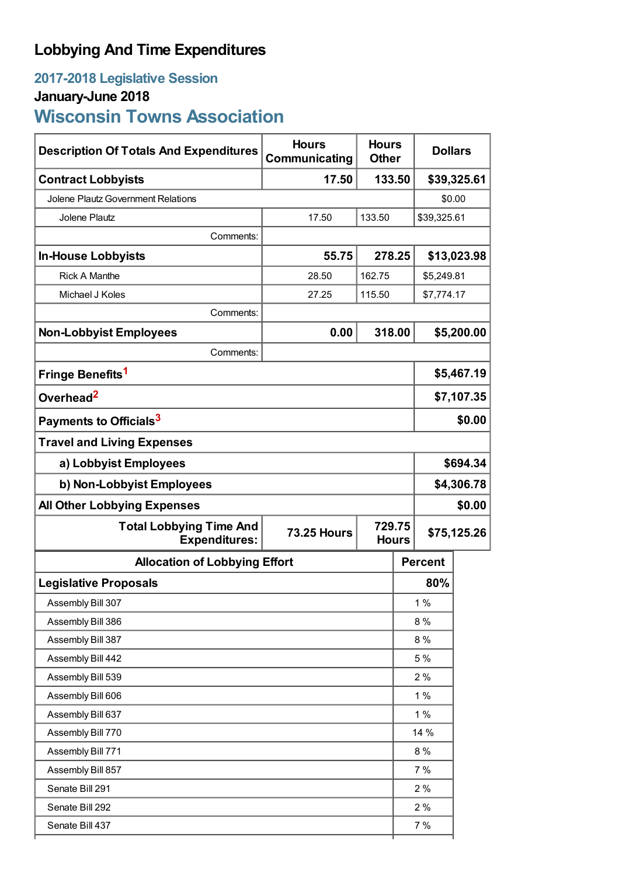## **Lobbying And Time Expenditures**

## **2017-2018 Legislative Session January-June 2018 Wisconsin Towns Association**

| <b>Description Of Totals And Expenditures</b>          | <b>Hours</b><br>Communicating                | <b>Hours</b><br><b>Other</b> |     | <b>Dollars</b> |            |  |
|--------------------------------------------------------|----------------------------------------------|------------------------------|-----|----------------|------------|--|
| <b>Contract Lobbyists</b>                              | 17.50                                        | 133.50                       |     | \$39,325.61    |            |  |
| Jolene Plautz Government Relations                     |                                              |                              |     | \$0.00         |            |  |
| <b>Jolene Plautz</b>                                   | 17.50                                        | 133.50                       |     | \$39,325.61    |            |  |
| Comments:                                              |                                              |                              |     |                |            |  |
| <b>In-House Lobbyists</b>                              | 55.75                                        | 278.25                       |     | \$13,023.98    |            |  |
| <b>Rick A Manthe</b>                                   | 28.50                                        | 162.75                       |     |                | \$5,249.81 |  |
| Michael J Koles                                        | 27.25                                        | 115.50<br>\$7,774.17         |     |                |            |  |
| Comments:                                              |                                              |                              |     |                |            |  |
| <b>Non-Lobbyist Employees</b>                          | 0.00                                         | 318.00                       |     |                | \$5,200.00 |  |
| Comments:                                              |                                              |                              |     |                |            |  |
| Fringe Benefits <sup>1</sup>                           |                                              |                              |     | \$5,467.19     |            |  |
| Overhead <sup>2</sup>                                  |                                              |                              |     | \$7,107.35     |            |  |
| Payments to Officials <sup>3</sup>                     |                                              |                              |     | \$0.00         |            |  |
| <b>Travel and Living Expenses</b>                      |                                              |                              |     |                |            |  |
| a) Lobbyist Employees                                  |                                              |                              |     | \$694.34       |            |  |
| b) Non-Lobbyist Employees                              |                                              |                              |     | \$4,306.78     |            |  |
| <b>All Other Lobbying Expenses</b>                     |                                              |                              |     |                | \$0.00     |  |
| <b>Total Lobbying Time And</b><br><b>Expenditures:</b> | 729.75<br><b>73.25 Hours</b><br><b>Hours</b> |                              |     | \$75,125.26    |            |  |
| <b>Allocation of Lobbying Effort</b>                   |                                              |                              |     | <b>Percent</b> |            |  |
| <b>Legislative Proposals</b>                           |                                              |                              |     | 80%            |            |  |
| Assembly Bill 307                                      |                                              |                              |     | 1%             |            |  |
| Assembly Bill 386                                      |                                              |                              |     | 8%             |            |  |
| Assembly Bill 387                                      |                                              |                              | 8%  |                |            |  |
| Assembly Bill 442                                      |                                              |                              | 5 % |                |            |  |
| Assembly Bill 539                                      |                                              |                              | 2%  |                |            |  |
| Assembly Bill 606                                      |                                              |                              |     | 1%             |            |  |
| Assembly Bill 637                                      |                                              |                              |     | 1%             |            |  |
| Assembly Bill 770                                      |                                              |                              |     | 14 %           |            |  |
| Assembly Bill 771                                      |                                              |                              |     | 8%             |            |  |
| Assembly Bill 857                                      |                                              |                              |     | 7%             |            |  |
| Senate Bill 291                                        |                                              |                              |     | 2%             |            |  |
| Senate Bill 292                                        |                                              |                              |     | 2%             |            |  |
| Senate Bill 437                                        |                                              |                              |     | 7%             |            |  |